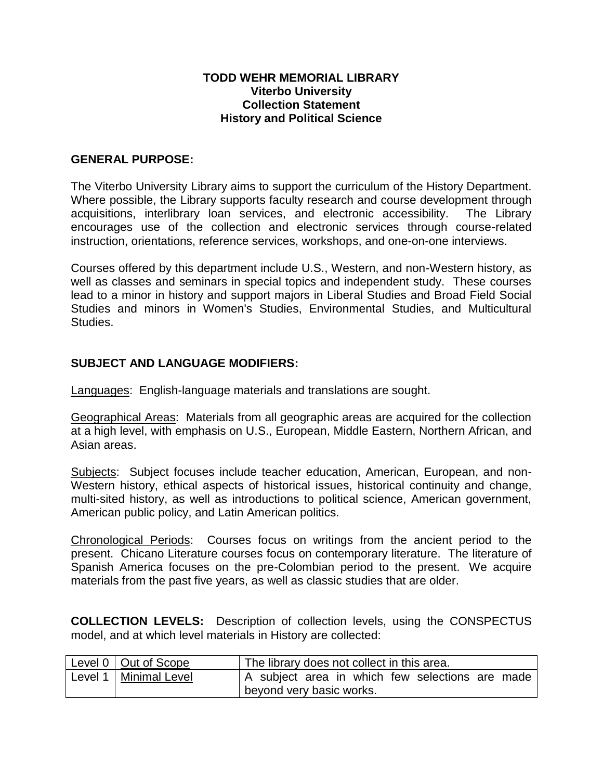### **TODD WEHR MEMORIAL LIBRARY Viterbo University Collection Statement History and Political Science**

## **GENERAL PURPOSE:**

The Viterbo University Library aims to support the curriculum of the History Department. Where possible, the Library supports faculty research and course development through acquisitions, interlibrary loan services, and electronic accessibility. The Library encourages use of the collection and electronic services through course-related instruction, orientations, reference services, workshops, and one-on-one interviews.

Courses offered by this department include U.S., Western, and non-Western history, as well as classes and seminars in special topics and independent study. These courses lead to a minor in history and support majors in Liberal Studies and Broad Field Social Studies and minors in Women's Studies, Environmental Studies, and Multicultural Studies.

# **SUBJECT AND LANGUAGE MODIFIERS:**

Languages: English-language materials and translations are sought.

Geographical Areas: Materials from all geographic areas are acquired for the collection at a high level, with emphasis on U.S., European, Middle Eastern, Northern African, and Asian areas.

Subjects: Subject focuses include teacher education, American, European, and non-Western history, ethical aspects of historical issues, historical continuity and change, multi-sited history, as well as introductions to political science, American government, American public policy, and Latin American politics.

Chronological Periods: Courses focus on writings from the ancient period to the present. Chicano Literature courses focus on contemporary literature. The literature of Spanish America focuses on the pre-Colombian period to the present. We acquire materials from the past five years, as well as classic studies that are older.

**COLLECTION LEVELS:** Description of collection levels, using the CONSPECTUS model, and at which level materials in History are collected:

| Level $0 \mid$ Out of Scope | The library does not collect in this area.      |
|-----------------------------|-------------------------------------------------|
| Level 1   Minimal Level     | A subject area in which few selections are made |
|                             | beyond very basic works.                        |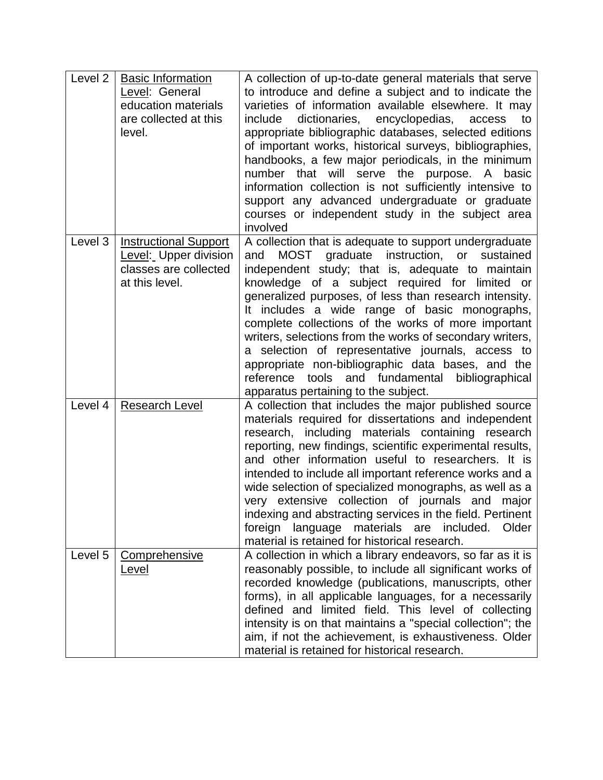| Level <sub>2</sub> | <b>Basic Information</b><br>Level: General<br>education materials<br>are collected at this<br>level. | A collection of up-to-date general materials that serve<br>to introduce and define a subject and to indicate the<br>varieties of information available elsewhere. It may<br>dictionaries, encyclopedias,<br>include<br>access<br>to<br>appropriate bibliographic databases, selected editions<br>of important works, historical surveys, bibliographies,<br>handbooks, a few major periodicals, in the minimum<br>number that will serve the purpose. A basic<br>information collection is not sufficiently intensive to<br>support any advanced undergraduate or graduate<br>courses or independent study in the subject area<br>involved              |
|--------------------|------------------------------------------------------------------------------------------------------|---------------------------------------------------------------------------------------------------------------------------------------------------------------------------------------------------------------------------------------------------------------------------------------------------------------------------------------------------------------------------------------------------------------------------------------------------------------------------------------------------------------------------------------------------------------------------------------------------------------------------------------------------------|
| Level 3            | <b>Instructional Support</b><br>Level: Upper division<br>classes are collected<br>at this level.     | A collection that is adequate to support undergraduate<br>MOST graduate instruction, or sustained<br>and<br>independent study; that is, adequate to maintain<br>knowledge of a subject required for limited or<br>generalized purposes, of less than research intensity.<br>It includes a wide range of basic monographs,<br>complete collections of the works of more important<br>writers, selections from the works of secondary writers,<br>a selection of representative journals, access to<br>appropriate non-bibliographic data bases, and the<br>tools and fundamental<br>reference<br>bibliographical<br>apparatus pertaining to the subject. |
| Level 4            | <b>Research Level</b>                                                                                | A collection that includes the major published source<br>materials required for dissertations and independent<br>research, including materials containing research<br>reporting, new findings, scientific experimental results,<br>and other information useful to researchers. It is<br>intended to include all important reference works and a<br>wide selection of specialized monographs, as well as a<br>very extensive collection of journals and major<br>indexing and abstracting services in the field. Pertinent<br>materials are<br>foreign<br>language<br>included.<br>Older<br>material is retained for historical research.               |
| Level 5            | <b>Comprehensive</b><br><u>Level</u>                                                                 | A collection in which a library endeavors, so far as it is<br>reasonably possible, to include all significant works of<br>recorded knowledge (publications, manuscripts, other<br>forms), in all applicable languages, for a necessarily<br>defined and limited field. This level of collecting<br>intensity is on that maintains a "special collection"; the<br>aim, if not the achievement, is exhaustiveness. Older<br>material is retained for historical research.                                                                                                                                                                                 |